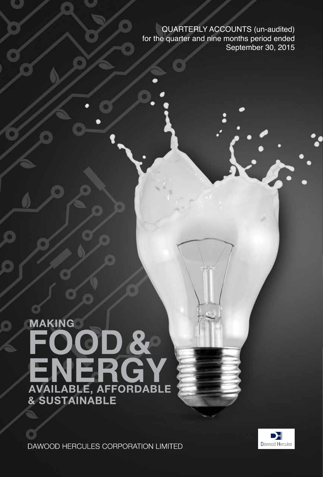QUARTERLY ACCOUNTS (un-audited) for the quarter and nine months period ended September 30, 2015

# **MAKING** ATAKING<br>
FOOD &

n

DAWOOD HERCULES CORPORATION LIMITED

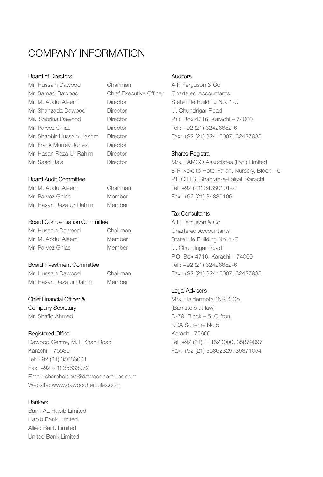# company Information

#### Board of Directors

| Mr. Hussain Dawood         | Chairman                       |
|----------------------------|--------------------------------|
| Mr. Samad Dawood           | <b>Chief Executive Officer</b> |
| Mr. M. Abdul Aleem         | Director                       |
| Mr. Shahzada Dawood        | Director                       |
| Ms. Sabrina Dawood         | Director                       |
| Mr. Parvez Ghias           | Director                       |
| Mr. Shabbir Hussain Hashmi | Director                       |
| Mr. Frank Murray Jones     | Director                       |
| Mr. Hasan Reza Ur Rahim    | Director                       |
| Mr. Saad Raja              | Director                       |

#### Board Audit Committee

| Mr. M. Abdul Aleem      | Chairman |
|-------------------------|----------|
| Mr. Parvez Ghias        | Member   |
| Mr. Hasan Reza Ur Rahim | Member   |

#### Board Compensation Committee

| Mr. Hussain Dawood | Chairman |
|--------------------|----------|
| Mr. M. Abdul Aleem | Member   |
| Mr. Parvez Ghias   | Member   |

#### Board Investment Committee

Mr. Hussain Dawood Chairman Mr. Hasan Reza ur Rahim Member

#### Chief Financial Officer &

Company Secretary Mr. Shafiq Ahmed

#### Registered Office

Dawood Centre, M.T. Khan Road Karachi – 75530 Tel: +92 (21) 35686001 Fax: +92 (21) 35633972 Email: shareholders@dawoodhercules.com Website: www.dawoodhercules.com

#### **Bankers** Bank AL Habib Limited Habib Bank Limited Allied Bank Limited United Bank Limited

#### **Auditors**

A.F. Ferguson & Co. Chartered Accountants State Life Building No. 1-C I.I. Chundrigar Road P.O. Box 4716, Karachi – 74000 Tel : +92 (21) 32426682-6 Fax: +92 (21) 32415007, 32427938

#### Shares Registrar

M/s. FAMCO Associates (Pvt.) Limited 8-F, Next to Hotel Faran, Nursery, Block – 6 P.E.C.H.S, Shahrah-e-Faisal, Karachi Tel: +92 (21) 34380101-2 Fax: +92 (21) 34380106

#### Tax Consultants

A.F. Ferguson & Co. Chartered Accountants State Life Building No. 1-C I.I. Chundrigar Road P.O. Box 4716, Karachi – 74000 Tel : +92 (21) 32426682-6 Fax: +92 (21) 32415007, 32427938

#### Legal Advisors

M/s. HaidermotaBNR & Co. (Barristers at law) D-79, Block – 5, Clifton KDA Scheme No.5 Karachi- 75600 Tel: +92 (21) 111520000, 35879097 Fax: +92 (21) 35862329, 35871054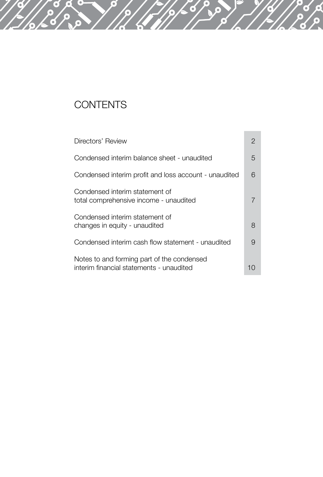# **CONTENTS**

| Directors' Review                                                                      | $\mathcal{P}$ |
|----------------------------------------------------------------------------------------|---------------|
| Condensed interim balance sheet - unaudited                                            | 5             |
| Condensed interim profit and loss account - unaudited                                  | 6             |
| Condensed interim statement of<br>total comprehensive income - unaudited               |               |
| Condensed interim statement of<br>changes in equity - unaudited                        | 8             |
| Condensed interim cash flow statement - unaudited                                      | 9             |
| Notes to and forming part of the condensed<br>interim financial statements - unaudited | 1 ( )         |

T.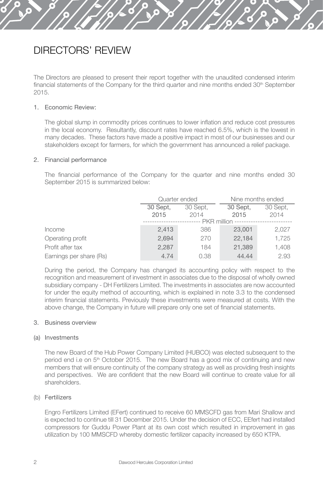# DIRECTORS' REVIEW

The Directors are pleased to present their report together with the unaudited condensed interim financial statements of the Company for the third quarter and nine months ended 30<sup>th</sup> September 2015.

#### 1. Economic Review:

The global slump in commodity prices continues to lower inflation and reduce cost pressures in the local economy. Resultantly, discount rates have reached 6.5%, which is the lowest in many decades. These factors have made a positive impact in most of our businesses and our stakeholders except for farmers, for which the government has announced a relief package.

#### 2. Financial performance

The financial performance of the Company for the quarter and nine months ended 30 September 2015 is summarized below:

|                         | Quarter ended        |      | Nine months ended |          |  |  |
|-------------------------|----------------------|------|-------------------|----------|--|--|
|                         | 30 Sept.<br>30 Sept. |      | 30 Sept.          | 30 Sept. |  |  |
|                         | 2015                 | 2014 | 2015              | 2014     |  |  |
|                         | <b>PKR</b> million   |      |                   |          |  |  |
| Income                  | 2,413                | 386  | 23,001            | 2,027    |  |  |
| Operating profit        | 2,694                | 270  | 22.184            | 1,725    |  |  |
| Profit after tax        | 2,287                | 184  | 21.389            | 1,408    |  |  |
| Earnings per share (Rs) | 4.74                 | 0.38 | 44.44             | 2.93     |  |  |

During the period, the Company has changed its accounting policy with respect to the recognition and measurement of investment in associates due to the disposal of wholly owned subsidiary company - DH Fertilizers Limited. The investments in associates are now accounted for under the equity method of accounting, which is explained in note 3.3 to the condensed interim financial statements. Previously these investments were measured at costs. With the above change, the Company in future will prepare only one set of financial statements.

#### 3. Business overview

#### (a) Investments

The new Board of the Hub Power Company Limited (HUBCO) was elected subsequent to the period end i.e on 5th October 2015. The new Board has a good mix of continuing and new members that will ensure continuity of the company strategy as well as providing fresh insights and perspectives. We are confident that the new Board will continue to create value for all shareholders.

#### (b) Fertilizers

Engro Fertilizers Limited (EFert) continued to receive 60 MMSCFD gas from Mari Shallow and is expected to continue till 31 December 2015. Under the decision of ECC, EEfert had installed compressors for Guddu Power Plant at its own cost which resulted in improvement in gas utilization by 100 MMSCFD whereby domestic fertilizer capacity increased by 650 KTPA.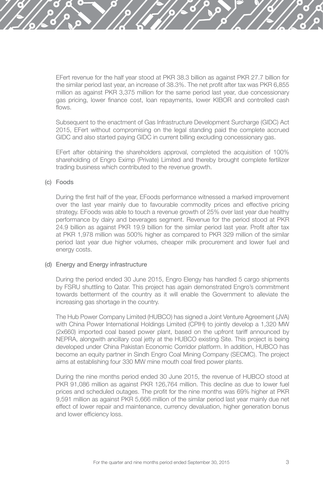EFert revenue for the half year stood at PKR 38.3 billion as against PKR 27.7 billion for the similar period last year, an increase of 38.3%. The net profit after tax was PKR 6,855 million as against PKR 3,375 million for the same period last year, due concessionary gas pricing, lower finance cost, loan repayments, lower KIBOR and controlled cash flows.

Subsequent to the enactment of Gas Infrastructure Development Surcharge (GIDC) Act 2015, EFert without compromising on the legal standing paid the complete accrued GIDC and also started paying GIDC in current billing excluding concessionary gas.

EFert after obtaining the shareholders approval, completed the acquisition of 100% shareholding of Engro Eximp (Private) Limited and thereby brought complete fertilizer trading business which contributed to the revenue growth.

#### (c) Foods

During the first half of the year, EFoods performance witnessed a marked improvement over the last year mainly due to favourable commodity prices and effective pricing strategy. EFoods was able to touch a revenue growth of 25% over last year due healthy performance by dairy and beverages segment. Revenue for the period stood at PKR 24.9 billion as against PKR 19.9 billion for the similar period last year. Profit after tax at PKR 1,978 million was 500% higher as compared to PKR 329 million of the similar period last year due higher volumes, cheaper milk procurement and lower fuel and energy costs.

#### (d) Energy and Energy infrastructure

During the period ended 30 June 2015, Engro Elengy has handled 5 cargo shipments by FSRU shuttling to Qatar. This project has again demonstrated Engro's commitment towards betterment of the country as it will enable the Government to alleviate the increasing gas shortage in the country.

The Hub Power Company Limited (HUBCO) has signed a Joint Venture Agreement (JVA) with China Power International Holdings Limited (CPIH) to jointly develop a 1,320 MW (2x660) imported coal based power plant, based on the upfront tariff announced by NEPRA, alongwith ancillary coal jetty at the HUBCO existing Site. This project is being developed under China Pakistan Economic Corridor platform. In addition, HUBCO has become an equity partner in Sindh Engro Coal Mining Company (SECMC). The project aims at establishing four 330 MW mine mouth coal fired power plants.

During the nine months period ended 30 June 2015, the revenue of HUBCO stood at PKR 91,086 million as against PKR 126,764 million. This decline as due to lower fuel prices and scheduled outages. The profit for the nine months was 69% higher at PKR 9,591 million as against PKR 5,666 million of the similar period last year mainly due net effect of lower repair and maintenance, currency devaluation, higher generation bonus and lower efficiency loss.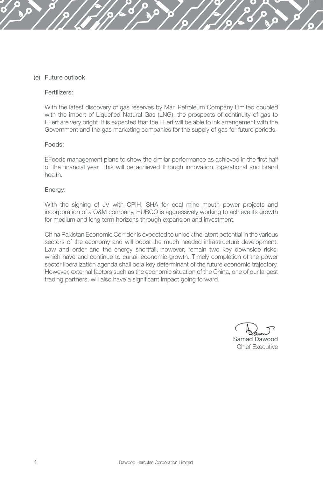#### (e) Future outlook

#### Fertilizers:

With the latest discovery of gas reserves by Mari Petroleum Company Limited coupled with the import of Liquefied Natural Gas (LNG), the prospects of continuity of gas to EFert are very bright. It is expected that the EFert will be able to ink arrangement with the Government and the gas marketing companies for the supply of gas for future periods.

#### Foods:

EFoods management plans to show the similar performance as achieved in the first half of the financial year. This will be achieved through innovation, operational and brand health.

#### Energy:

With the signing of JV with CPIH, SHA for coal mine mouth power projects and incorporation of a O&M company, HUBCO is aggressively working to achieve its growth for medium and long term horizons through expansion and investment.

China Pakistan Economic Corridor is expected to unlock the latent potential in the various sectors of the economy and will boost the much needed infrastructure development. Law and order and the energy shortfall, however, remain two key downside risks, which have and continue to curtail economic growth. Timely completion of the power sector liberalization agenda shall be a key determinant of the future economic trajectory. However, external factors such as the economic situation of the China, one of our largest trading partners, will also have a significant impact going forward.

Samad Dawood Chief Executive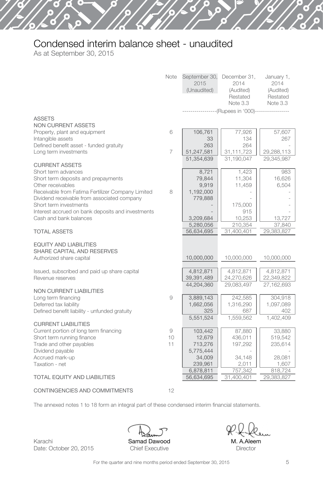# Condensed interim balance sheet - unaudited

As at September 30, 2015

|                                                                                                       | <b>Note</b>    | September 30,<br>2015<br>(Unaudited)  | December 31,<br>2014<br>(Audited)<br>Restated<br>Note 3.3 | January 1,<br>2014<br>(Audited)<br>Restated<br>Note 3.3 |
|-------------------------------------------------------------------------------------------------------|----------------|---------------------------------------|-----------------------------------------------------------|---------------------------------------------------------|
|                                                                                                       |                |                                       | -------------(Rupees in '000)-----------------            |                                                         |
| <b>ASSETS</b><br><b>NON CURRENT ASSETS</b>                                                            |                |                                       |                                                           |                                                         |
| Property, plant and equipment<br>Intangible assets<br>Defined benefit asset - funded gratuity         | 6              | 106.761<br>33<br>263                  | 77.926<br>134<br>264                                      | 57.607<br>267                                           |
| Long term investments                                                                                 | $\overline{7}$ | 51,247,581                            | 31,111,723                                                | 29,288,113                                              |
| <b>CURRENT ASSETS</b><br>Short term advances                                                          |                | 51,354,639<br>8,721                   | 31,190,047<br>1,423                                       | 29,345,987<br>983                                       |
| Short term deposits and prepayments<br>Other receivables                                              |                | 79,844<br>9,919                       | 11,304<br>11,459                                          | 16,626<br>6,504                                         |
| Receivable from Fatima Fertilizer Company Limited<br>Dividend receivable from associated company      | 8              | 1,192,000<br>779,888                  |                                                           |                                                         |
| Short term investments<br>Interest accrued on bank deposits and investments<br>Cash and bank balances |                | 3,209,684                             | 175,000<br>915<br>10,253                                  | 13,727                                                  |
| <b>TOTAL ASSETS</b>                                                                                   |                | 5,280,056<br>56,634,695               | 210,354<br>31,400,401                                     | 37,840<br>29,383,827                                    |
| <b>EQUITY AND LIABILITIES</b><br>SHARE CAPITAL AND RESERVES<br>Authorized share capital               |                | 10,000,000                            | 10,000,000                                                | 10,000,000                                              |
| Issued, subscribed and paid up share capital<br>Revenue reserves                                      |                | 4,812,871<br>39,391,489<br>44,204,360 | 4,812,871<br>24,270,626<br>29,083,497                     | 4,812,871<br>22,349,822<br>27,162,693                   |
| <b>NON CURRENT LIABILITIES</b><br>Long term financing                                                 | 9              | 3,889,143                             | 242,585                                                   | 304,918                                                 |
| Deferred tax liability<br>Defined benefit liability - unfunded gratuity                               |                | 1,662,056<br>325                      | 1,316,290<br>687                                          | 1,097,089<br>402                                        |
| <b>CURRENT LIABILITIES</b>                                                                            |                | 5,551,524                             | 1,559,562                                                 | 1,402,409                                               |
| Current portion of long term financing<br>Short term running finance<br>Trade and other payables      | 9<br>10<br>11  | 103,442<br>12,679<br>713,276          | 87,880<br>436,011<br>197,292                              | 33,880<br>519,542<br>235,614                            |
| Dividend payable<br>Accrued mark-up<br>Taxation - net                                                 |                | 5,775,444<br>34,009<br>239,961        | 34,148<br>2,011                                           | 28,081<br>1,607                                         |
| <b>TOTAL EQUITY AND LIABILITIES</b>                                                                   |                | 6,878,811<br>56,634,695               | 757,342<br>31,400,401                                     | 818,724<br>29,383,827                                   |
| CONTINGENCIES AND COMMITMENTS                                                                         | 12             |                                       |                                                           |                                                         |

The annexed notes 1 to 18 form an integral part of these condensed interim financial statements.

Samad Dawood Chief Executive

M. A.Aleem **Director**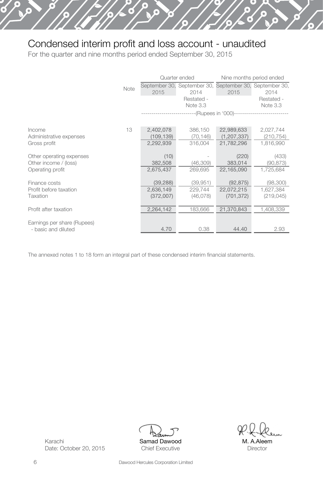# Condensed interim profit and loss account - unaudited

ြ

For the quarter and nine months period ended September 30, 2015

|                             |      |            | Quarter ended                                                   | Nine months period ended |            |  |
|-----------------------------|------|------------|-----------------------------------------------------------------|--------------------------|------------|--|
|                             | Note | 2015       | September 30, September 30, September 30, September 30,<br>2014 | 2015                     | 2014       |  |
|                             |      |            | Restated -                                                      |                          | Restated - |  |
|                             |      |            | Note 3.3                                                        |                          | Note 3.3   |  |
|                             |      |            | --(Rupees in '000)--                                            |                          |            |  |
| Income                      | 13   | 2,402,078  | 386,150                                                         | 22,989,633               | 2,027,744  |  |
| Administrative expenses     |      | (109, 139) | (70, 146)                                                       | (1, 207, 337)            | (210, 754) |  |
| Gross profit                |      | 2,292,939  | 316.004                                                         | 21,782,296               | 1.816.990  |  |
| Other operating expenses    |      | (10)       |                                                                 | (220)                    | (433)      |  |
| Other income / (loss)       |      | 382,508    | (46,309)                                                        | 383,014                  | (90, 873)  |  |
| Operating profit            |      | 2,675,437  | 269,695                                                         | 22,165,090               | 1,725,684  |  |
| Finance costs               |      | (39, 288)  | (39, 951)                                                       | (92, 875)                | (98,300)   |  |
| Profit before taxation      |      | 2,636,149  | 229,744                                                         | 22,072,215               | 1,627,384  |  |
| Taxation                    |      | (372,007)  | (46,078)                                                        | (701, 372)               | (219, 045) |  |
| Profit after taxation       |      | 2,264,142  | 183,666                                                         | 21,370,843               | 1,408,339  |  |
| Earnings per share (Rupees) |      |            |                                                                 |                          |            |  |
| - basic and diluted         |      | 4.70       | 0.38                                                            | 44.40                    | 2.93       |  |

The annexed notes 1 to 18 form an integral part of these condensed interim financial statements.



M. A.Aleem Director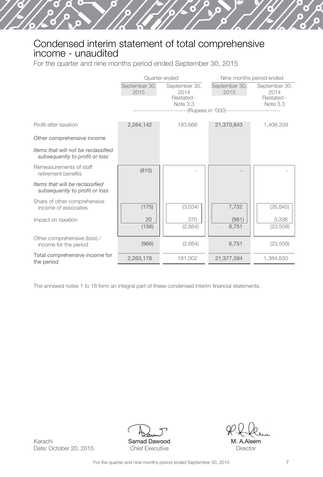# Condensed interim statement of total comprehensive income - unaudited

For the quarter and nine months period ended September 30, 2015

|                                                                       |                       | Quarter ended                                                             | Nine months period ended |                                                 |  |
|-----------------------------------------------------------------------|-----------------------|---------------------------------------------------------------------------|--------------------------|-------------------------------------------------|--|
|                                                                       | September 30,<br>2015 | September 30,<br>2014<br>Restated -<br>Note 3.3<br>----(Rupees in '000)-- | September 30,<br>2015    | September 30,<br>2014<br>Restated -<br>Note 3.3 |  |
| Profit after taxation                                                 | 2,264,142             | 183,666                                                                   | 21,370,843               | 1,408,339                                       |  |
| Other comprehensive income                                            |                       |                                                                           |                          |                                                 |  |
| Items that will not be reclassified<br>subsequently to profit or loss |                       |                                                                           |                          |                                                 |  |
| Remeasurements of staff<br>retirement benefits                        | (810)                 |                                                                           |                          |                                                 |  |
| Items that will be reclassified<br>subsequently to profit or loss     |                       |                                                                           |                          |                                                 |  |
| Share of other comprehensive<br>income of associates                  | (175)                 | (3,034)                                                                   | 7,732                    | (26, 845)                                       |  |
| Impact on taxation                                                    | 20<br>(156)           | 370<br>(2,664)                                                            | (981)<br>6,751           | 3,336<br>(23, 509)                              |  |
| Other comprehensive (loss) /<br>income for the period                 | (966)                 | (2,664)                                                                   | 6,751                    | (23, 509)                                       |  |
| Total comprehensive income for<br>the period                          | 2,263,176             | 181,002                                                                   | 21,377,594               | 1,384,830                                       |  |

The annexed notes 1 to 18 form an integral part of these condensed interim financial statements.



M. A.Aleem **Director**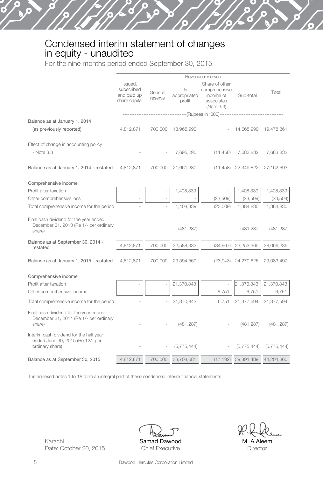# Condensed interim statement of changes in equity - unaudited

For the nine months period ended September 30, 2015

|                                                                                                | Revenue reserves                                      |                    |                                 |                                                                          |                        |             |
|------------------------------------------------------------------------------------------------|-------------------------------------------------------|--------------------|---------------------------------|--------------------------------------------------------------------------|------------------------|-------------|
|                                                                                                | Issued.<br>subscribed<br>and paid up<br>share capital | General<br>reserve | $Un-$<br>appropriated<br>profit | Share of other<br>comprehensive<br>income of<br>associates<br>(Note 3.3) | Sub-total              | Total       |
|                                                                                                |                                                       |                    |                                 | ---(Rupees in '000)-----                                                 |                        |             |
| Balance as at January 1, 2014                                                                  |                                                       |                    |                                 |                                                                          |                        |             |
| (as previously reported)                                                                       | 4,812,871                                             | 700,000            | 13,965,990                      |                                                                          | 14,665,990             | 19,478,861  |
| Effect of change in accounting policy                                                          |                                                       |                    |                                 |                                                                          |                        |             |
| - Note 3.3                                                                                     |                                                       |                    | 7,695,290                       | (11, 458)                                                                | 7,683,832              | 7,683,832   |
| Balance as at January 1, 2014 - restated                                                       | 4,812,871                                             | 700,000            | 21,661,280                      |                                                                          | $(11, 458)$ 22,349,822 | 27,162,693  |
| Comprehensive income                                                                           |                                                       |                    |                                 |                                                                          |                        |             |
| Profit after taxation                                                                          |                                                       |                    | 1,408,339                       |                                                                          | 1,408,339              | 1,408,339   |
| Other comprehensive loss                                                                       |                                                       |                    |                                 | (23, 509)                                                                | (23, 509)              | (23, 509)   |
| Total comprehensive income for the period                                                      |                                                       |                    | 1,408,339                       | (23, 509)                                                                | 1,384,830              | 1,384,830   |
| Final cash dividend for the year ended<br>December 31, 2013 (Re 1/- per ordinary<br>share)     |                                                       |                    | (481, 287)                      |                                                                          | (481, 287)             | (481, 287)  |
| Balance as at September 30, 2014 -<br>restated                                                 | 4,812,871                                             | 700,000            | 22,588,332                      | (34, 967)                                                                | 23,253,365             | 28,066,236  |
| Balance as at January 1, 2015 - restated                                                       | 4,812,871                                             | 700,000            | 23,594,569                      | (23,943)                                                                 | 24,270,626             | 29,083,497  |
| Comprehensive income                                                                           |                                                       |                    |                                 |                                                                          |                        |             |
| Profit after taxation                                                                          |                                                       |                    | 21,370,843                      |                                                                          | 21,370,843             | 21,370,843  |
| Other comprehensive income                                                                     |                                                       |                    |                                 | 6,751                                                                    | 6,751                  | 6,751       |
| Total comprehensive income for the period                                                      |                                                       |                    | 21,370,843                      | 6.751                                                                    | 21,377,594             | 21,377,594  |
| Final cash dividend for the year ended<br>December 31, 2014 (Re 1/- per ordinary<br>share)     |                                                       |                    | (481, 287)                      |                                                                          | (481, 287)             | (481, 287)  |
| Interim cash dividend for the half year<br>ended June 30, 2015 (Re 12/- per<br>ordinary share) |                                                       |                    | (5,775,444)                     |                                                                          | (5,775,444)            | (5,775,444) |
| Balance as at September 30, 2015                                                               | 4,812,871                                             | 700,000            | 38,708,681                      | (17, 192)                                                                | 39,391,489             | 44,204,360  |

The annexed notes 1 to 18 form an integral part of these condensed interim financial statements.



M. A.Aleem **Director**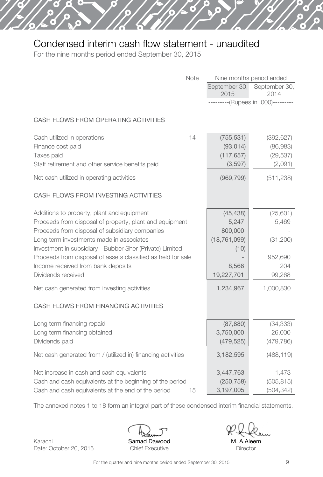# Condensed interim cash flow statement - unaudited

For the nine months period ended September 30, 2015

×

| <b>Note</b>                                                                                                                                                                                                                                                                                                                                                                                 | September 30,<br>2015                                                          | Nine months period ended<br>September 30,<br>2014<br>---------(Rupees in '000)--------- |
|---------------------------------------------------------------------------------------------------------------------------------------------------------------------------------------------------------------------------------------------------------------------------------------------------------------------------------------------------------------------------------------------|--------------------------------------------------------------------------------|-----------------------------------------------------------------------------------------|
| CASH FLOWS FROM OPERATING ACTIVITIES                                                                                                                                                                                                                                                                                                                                                        |                                                                                |                                                                                         |
| 14<br>Cash utilized in operations<br>Finance cost paid<br>Taxes paid<br>Staff retirement and other service benefits paid                                                                                                                                                                                                                                                                    | (755, 531)<br>(93, 014)<br>(117, 657)<br>(3, 597)                              | (392, 627)<br>(86,983)<br>(29, 537)<br>(2,091)                                          |
| Net cash utilized in operating activities                                                                                                                                                                                                                                                                                                                                                   | (969, 799)                                                                     | (511, 238)                                                                              |
| CASH FLOWS FROM INVESTING ACTIVITIES                                                                                                                                                                                                                                                                                                                                                        |                                                                                |                                                                                         |
| Additions to property, plant and equipment<br>Proceeds from disposal of property, plant and equipment<br>Proceeds from disposal of subsidiary companies<br>Long term investments made in associates<br>Investment in subsidiary - Bubber Sher (Private) Limited<br>Proceeds from disposal of assets classified as held for sale<br>Income received from bank deposits<br>Dividends received | (45, 438)<br>5,247<br>800,000<br>(18, 761, 099)<br>(10)<br>8,566<br>19,227,701 | (25, 601)<br>5,469<br>(31, 200)<br>952,690<br>204<br>99,268                             |
| Net cash generated from investing activities                                                                                                                                                                                                                                                                                                                                                | 1,234,967                                                                      | 1,000,830                                                                               |
| CASH FLOWS FROM FINANCING ACTIVITIES                                                                                                                                                                                                                                                                                                                                                        |                                                                                |                                                                                         |
| Long term financing repaid<br>Long term financing obtained<br>Dividends paid                                                                                                                                                                                                                                                                                                                | (87, 880)<br>3,750,000<br>(479, 525)                                           | (34, 333)<br>26,000<br>(479, 786)                                                       |
| Net cash generated from / (utilized in) financing activities                                                                                                                                                                                                                                                                                                                                | 3,182,595                                                                      | (488, 119)                                                                              |
| Net increase in cash and cash equivalents<br>Cash and cash equivalents at the beginning of the period<br>Cash and cash equivalents at the end of the period<br>15                                                                                                                                                                                                                           | 3,447,763<br>(250, 758)<br>3,197,005                                           | 1,473<br>(505, 815)<br>(504, 342)                                                       |

The annexed notes 1 to 18 form an integral part of these condensed interim financial statements.

Karachi Date: October 20, 2015 Samad Dawood Chief Executive

M. A.Aleem **Director**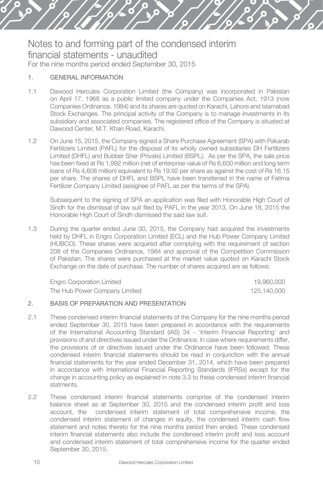#### 1. GENERAL INFORMATION

- 1.1 Dawood Hercules Corporation Limited (the Company) was incorporated in Pakistan on April 17, 1968 as a public limited company under the Companies Act, 1913 (now Companies Ordinance, 1984) and its shares are quoted on Karachi, Lahore and Islamabad Stock Exchanges. The principal activity of the Company is to manage investments in its subsidiary and associated companies. The registered office of the Company is situated at Dawood Center, M.T. Khan Road, Karachi.
- 1.2 On June 15, 2015, the Company signed a Share Purchase Agreement (SPA) with Pakarab Fertilizers Limited (PAFL) for the disposal of its wholly owned subsidiaries DH Fertilizers Limited (DHFL) and Bubber Sher (Private) Limited (BSPL). As per the SPA, the sale price has been fixed at Rs 1,992 million (net of enterprise value of Rs 6,600 million and long term loans of Rs 4,608 million) equivalent to Rs 19.92 per share as against the cost of Rs 16.15 per share. The shares of DHFL and BSPL have been transferred in the name of Fatima Fertilizer Company Limited (assignee of PAFL as per the terms of the SPA).

Subsequent to the signing of SPA an application was filed with Honorable High Court of Sindh for the dismissal of law suit filed by PAFL in the year 2013. On June 18, 2015 the Honorable High Court of Sindh dismissed the said law suit.

1.3 During the quarter ended June 30, 2015, the Company had acquired the investments held by DHFL in Engro Corporation Limited (ECL) and the Hub Power Company Limited (HUBCO). These shares were acquired after complying with the requirement of section 208 of the Companies Ordinance, 1984 and approval of the Competition Commission of Pakistan. The shares were purchased at the market value quoted on Karachi Stock Exchange on the date of purchase. The number of shares acquired are as follows:

Engro Corporation Limited 19,960,000 The Hub Power Company Limited 125,140,000

#### 2. BASIS OF PREPARATION AND PRESENTATION

- 2.1 These condensed interim financial statements of the Company for the nine months period ended September 30, 2015 have been prepared in accordance with the requirements of the International Accounting Standard (IAS) 34 - 'Interim Financial Reporting' and provisions of and directives issued under the Ordinance. In case where requirements differ, the provisions of or directives issued under the Ordinance have been followed. These condensed interim financial statements should be read in conjunction with the annual financial statements for the year ended December 31, 2014, which have been prepared in accordance with International Financial Reporting Standards (IFRSs) except for the change in accounting policy as explained in note 3.3 to these condensed interim financial statments.
- 2.2 These condensed interim financial statements comprise of the condensed interim balance sheet as at September 30, 2015 and the condensed interim profit and loss account, the condensed interim statement of total comprehensive income, the condensed interim statement of changes in equity, the condensed interim cash flow statement and notes thereto for the nine months period then ended. These condensed interim financial statements also include the condensed interim profit and loss account and condensed interim statement of total comprehensive income for the quarter ended September 30, 2015.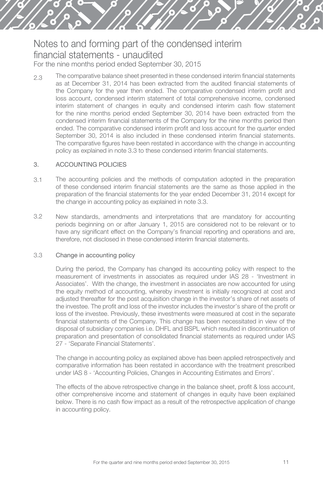2.3 The comparative balance sheet presented in these condensed interim financial statements as at December 31, 2014 has been extracted from the audited financial statements of the Company for the year then ended. The comparative condensed interim profit and loss account, condensed interim statement of total comprehensive income, condensed interim statement of changes in equity and condensed interim cash flow statement for the nine months period ended September 30, 2014 have been extracted from the condensed interim financial statements of the Company for the nine months period then ended. The comparative condensed interim profit and loss account for the quarter ended September 30, 2014 is also included in these condensed interim financial statements. The comparative figures have been restated in accordance with the change in accounting policy as explained in note 3.3 to these condensed interim financial statements.

#### 3. ACCOUNTING POLICIES

- 3.1 The accounting policies and the methods of computation adopted in the preparation of these condensed interim financial statements are the same as those applied in the preparation of the financial statements for the year ended December 31, 2014 except for the change in accounting policy as explained in note 3.3.
- 3.2 New standards, amendments and interpretations that are mandatory for accounting periods beginning on or after January 1, 2015 are considered not to be relevant or to have any significant effect on the Company's financial reporting and operations and are, therefore, not disclosed in these condensed interim financial statements.

#### 3.3 Change in accounting policy

During the period, the Company has changed its accounting policy with respect to the measurement of investments in associates as required under IAS 28 - 'Investment in Associates'. With the change, the investment in associates are now accounted for using the equity method of accounting, whereby investment is initially recognized at cost and adjusted thereafter for the post acquisition change in the investor's share of net assets of the investee. The profit and loss of the investor includes the investor's share of the profit or loss of the investee. Previously, these investments were measured at cost in the separate financial statements of the Company. This change has been necessitated in view of the disposal of subsidiary companies i.e. DHFL and BSPL which resulted in discontinuation of preparation and presentation of consolidated financial statements as required under IAS 27 - 'Separate Financial Statements'.

The change in accounting policy as explained above has been applied retrospectively and comparative information has been restated in accordance with the treatment prescribed under IAS 8 - 'Accounting Policies, Changes in Accounting Estimates and Errors'.

The effects of the above retrospective change in the balance sheet, profit & loss account, other comprehensive income and statement of changes in equity have been explained below. There is no cash flow impact as a result of the retrospective application of change in accounting policy.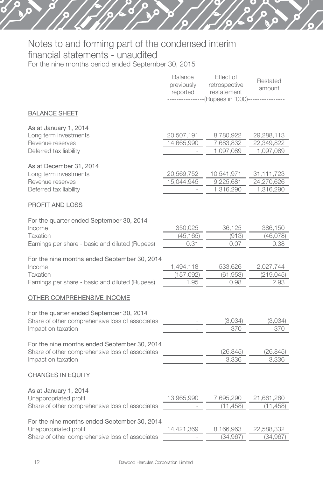ö

Θ

|                                                                                                                          | <b>Balance</b><br>previously<br>reported | Effect of<br>retrospective<br>restatement<br>(Rupees in '000)-- | Restated<br>amount                    |
|--------------------------------------------------------------------------------------------------------------------------|------------------------------------------|-----------------------------------------------------------------|---------------------------------------|
| <b>BALANCE SHEET</b>                                                                                                     |                                          |                                                                 |                                       |
| As at January 1, 2014<br>Long term investments<br>Revenue reserves<br>Deferred tax liability                             | 20,507,191<br>14,665,990                 | 8,780,922<br>7,683,832<br>1,097,089                             | 29,288,113<br>22,349,822<br>1,097,089 |
| As at December 31, 2014<br>Long term investments<br>Revenue reserves<br>Deferred tax liability                           | 20,569,752<br>15,044,945                 | 10,541,971<br>9,225,681<br>1,316,290                            | 31,111,723<br>24,270,626<br>1,316,290 |
| PROFIT AND LOSS                                                                                                          |                                          |                                                                 |                                       |
| For the quarter ended September 30, 2014<br>Income<br>Taxation<br>Earnings per share - basic and diluted (Rupees)        | 350,025<br>(45, 165)<br>0.31             | 36,125<br>(913)<br>0.07                                         | 386,150<br>(46,078)<br>0.38           |
| For the nine months ended September 30, 2014<br>Income<br>Taxation<br>Earnings per share - basic and diluted (Rupees)    | 1,494,118<br>(157, 092)<br>1.95          | 533,626<br>(61, 953)<br>0.98                                    | 2,027,744<br>(219, 045)<br>2.93       |
| OTHER COMPREHENSIVE INCOME                                                                                               |                                          |                                                                 |                                       |
| For the quarter ended September 30, 2014<br>Share of other comprehensive loss of associates<br>Impact on taxation        |                                          | (3,034)<br>370                                                  | (3,034)<br>370                        |
| For the nine months ended September 30, 2014<br>Share of other comprehensive loss of associates<br>Impact on taxation    |                                          | (26, 845)<br>3,336                                              | (26, 845)<br>3,336                    |
| <b>CHANGES IN EQUITY</b>                                                                                                 |                                          |                                                                 |                                       |
| As at January 1, 2014<br>Unappropriated profit<br>Share of other comprehensive loss of associates                        | 13,965,990                               | 7,695,290<br>(11, 458)                                          | 21,661,280<br>(11, 458)               |
| For the nine months ended September 30, 2014<br>Unappropriated profit<br>Share of other comprehensive loss of associates | 14,421,369                               | 8,166,963<br>(34, 967)                                          | 22,588,332<br>(34, 967)               |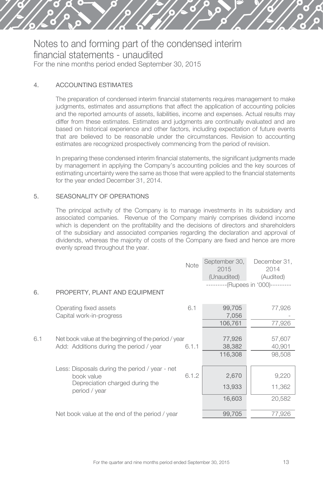

#### 4. ACCOUNTING ESTIMATES

The preparation of condensed interim financial statements requires management to make judgments, estimates and assumptions that affect the application of accounting policies and the reported amounts of assets, liabilities, income and expenses. Actual results may differ from these estimates. Estimates and judgments are continually evaluated and are based on historical experience and other factors, including expectation of future events that are believed to be reasonable under the circumstances. Revision to accounting estimates are recognized prospectively commencing from the period of revision.

In preparing these condensed interim financial statements, the significant judgments made by management in applying the Company's accounting policies and the key sources of estimating uncertainty were the same as those that were applied to the financial statements for the year ended December 31, 2014.

#### 5. SEASONALITY OF OPERATIONS

The principal activity of the Company is to manage investments in its subsidiary and associated companies. Revenue of the Company mainly comprises dividend income which is dependent on the profitability and the decisions of directors and shareholders of the subsidiary and associated companies regarding the declaration and approval of dividends, whereas the majority of costs of the Company are fixed and hence are more evenly spread throughout the year.

|     |                                                              | Note  | September 30,<br>2015<br>(Unaudited) | December 31,<br>2014<br>(Audited)  |
|-----|--------------------------------------------------------------|-------|--------------------------------------|------------------------------------|
|     |                                                              |       |                                      | ---------(Rupees in '000)--------- |
| 6.  | PROPERTY, PLANT AND EQUIPMENT                                |       |                                      |                                    |
|     | Operating fixed assets                                       | 6.1   | 99,705                               | 77,926                             |
|     | Capital work-in-progress                                     |       | 7,056                                |                                    |
|     |                                                              |       | 106,761                              | 77,926                             |
|     |                                                              |       |                                      |                                    |
| 6.1 | Net book value at the beginning of the period / year         |       | 77,926                               | 57,607                             |
|     | Add: Additions during the period / year                      | 6.1.1 | 38,382                               | 40,901                             |
|     |                                                              |       | 116,308                              | 98,508                             |
|     |                                                              |       |                                      |                                    |
|     | Less: Disposals during the period / year - net<br>book value | 6.1.2 | 2,670                                | 9,220                              |
|     | Depreciation charged during the<br>period / year             |       | 13,933                               | 11,362                             |
|     |                                                              |       | 16,603                               | 20,582                             |
|     | Net book value at the end of the period / year               |       | 99,705                               | 77,926                             |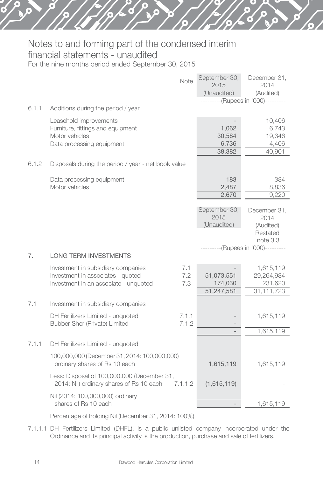# Notes to and forming part of the condensed interim financial statements - unaudited

For the nine months period ended September 30, 2015

|       | Note                                                                                               | September 30,<br>2015                | December 31,<br>2014               |
|-------|----------------------------------------------------------------------------------------------------|--------------------------------------|------------------------------------|
|       |                                                                                                    | (Unaudited)                          | (Audited)                          |
|       |                                                                                                    |                                      | ---------(Rupees in '000)--------- |
| 6.1.1 | Additions during the period / year                                                                 |                                      |                                    |
|       | Leasehold improvements<br>Furniture, fittings and equipment                                        | 1,062                                | 10,406<br>6,743                    |
|       | Motor vehicles<br>Data processing equipment                                                        | 30,584<br>6,736                      | 19,346<br>4,406                    |
|       |                                                                                                    | 38,382                               | 40,901                             |
| 6.1.2 | Disposals during the period / year - net book value                                                |                                      |                                    |
|       | Data processing equipment<br>Motor vehicles                                                        | 183<br>2,487                         | 384<br>8,836                       |
|       |                                                                                                    | 2,670                                | 9,220                              |
|       |                                                                                                    | September 30,<br>2015<br>(Unaudited) | December 31,<br>2014               |
|       |                                                                                                    |                                      | (Audited)<br>Restated<br>note 3.3  |
| 7.    | <b>LONG TERM INVESTMENTS</b>                                                                       |                                      | ---------(Rupees in '000)--------- |
|       | 7.1<br>Investment in subsidiary companies<br>Investment in associates - quoted<br>7.2              | 51,073,551                           | 1,615,119<br>29,264,984            |
|       | Investment in an associate - unquoted<br>7.3                                                       | 174,030<br>51,247,581                | 231,620<br>31,111,723              |
| 7.1   | Investment in subsidiary companies                                                                 |                                      |                                    |
|       | DH Fertilizers Limited - unquoted<br>7.1.1                                                         |                                      | 1,615,119                          |
|       | 7.1.2<br>Bubber Sher (Private) Limited                                                             |                                      |                                    |
|       |                                                                                                    |                                      | 1,615,119                          |
| 7.1.1 | DH Fertilizers Limited - unquoted                                                                  |                                      |                                    |
|       | 100,000,000 (December 31, 2014: 100,000,000)<br>ordinary shares of Rs 10 each                      | 1,615,119                            | 1,615,119                          |
|       | Less: Disposal of 100,000,000 (December 31,<br>2014: Nil) ordinary shares of Rs 10 each<br>7.1.1.2 | (1,615,119)                          |                                    |
|       | Nil (2014: 100,000,000) ordinary                                                                   |                                      |                                    |
|       | shares of Rs 10 each                                                                               |                                      | 1,615,119                          |

Percentage of holding Nil (December 31, 2014: 100%)

7.1.1.1 DH Fertilizers Limited (DHFL), is a public unlisted company incorporated under the Ordinance and its principal activity is the production, purchase and sale of fertilizers.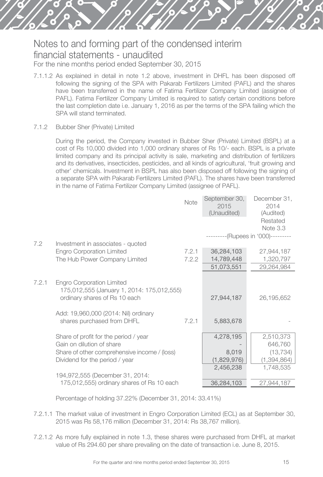- 7.1.1.2 As explained in detail in note 1.2 above, investment in DHFL has been disposed off following the signing of the SPA with Pakarab Fertilizers Limited (PAFL) and the shares have been transferred in the name of Fatima Fertilizer Company Limited (assignee of PAFL). Fatima Fertilizer Company Limited is required to satisfy certain conditions before the last completion date i.e. January 1, 2016 as per the terms of the SPA failing which the SPA will stand terminated.
- 7.1.2 Bubber Sher (Private) Limited

During the period, the Company invested in Bubber Sher (Private) Limited (BSPL) at a cost of Rs 10,000 divided into 1,000 ordinary shares of Rs 10/- each. BSPL is a private limited company and its principal activity is sale, marketing and distribution of fertilizers and its derivatives, insecticides, pesticides, and all kinds of agricultural, 'fruit growing and other' chemicals. Investment in BSPL has also been disposed off following the signing of a separate SPA with Pakarab Fertilizers Limited (PAFL). The shares have been transferred in the name of Fatima Fertilizer Company Limited (assignee of PAFL).

|       |                                                                                                                 | Note  | September 30,<br>2015<br>(Unaudited) | December 31,<br>2014<br>(Audited)  |
|-------|-----------------------------------------------------------------------------------------------------------------|-------|--------------------------------------|------------------------------------|
|       |                                                                                                                 |       |                                      | Restated<br>Note 3.3               |
| 7.2   | Investment in associates - quoted                                                                               |       |                                      | ---------(Rupees in '000)--------- |
|       | <b>Engro Corporation Limited</b>                                                                                | 7.2.1 | 36,284,103                           | 27,944,187                         |
|       | The Hub Power Company Limited                                                                                   | 7.2.2 | 14,789,448                           | 1,320,797                          |
|       |                                                                                                                 |       | 51,073,551                           | 29,264,984                         |
| 7.2.1 | <b>Engro Corporation Limited</b><br>175,012,555 (January 1, 2014: 175,012,555)<br>ordinary shares of Rs 10 each |       | 27,944,187                           | 26,195,652                         |
|       | Add: 19,960,000 (2014: Nil) ordinary<br>shares purchased from DHFL                                              | 7.2.1 | 5,883,678                            |                                    |
|       | Share of profit for the period / year                                                                           |       | 4,278,195                            | 2,510,373                          |
|       | Gain on dilution of share                                                                                       |       |                                      | 646,760                            |
|       | Share of other comprehensive income / (loss)<br>Dividend for the period / year                                  |       | 8,019<br>(1,829,976)                 | (13, 734)<br>(1, 394, 864)         |
|       |                                                                                                                 |       | 2,456,238                            | 1,748,535                          |
|       | 194,972,555 (December 31, 2014:                                                                                 |       |                                      |                                    |
|       | 175,012,555) ordinary shares of Rs 10 each                                                                      |       | 36,284,103                           | 27,944,187                         |

Percentage of holding 37.22% (December 31, 2014: 33.41%)

- 7.2.1.1 The market value of investment in Engro Corporation Limited (ECL) as at September 30, 2015 was Rs 58,176 million (December 31, 2014: Rs 38,767 million).
- 7.2.1.2 As more fully explained in note 1.3, these shares were purchased from DHFL at market value of Rs 294.60 per share prevailing on the date of transaction i.e. June 8, 2015.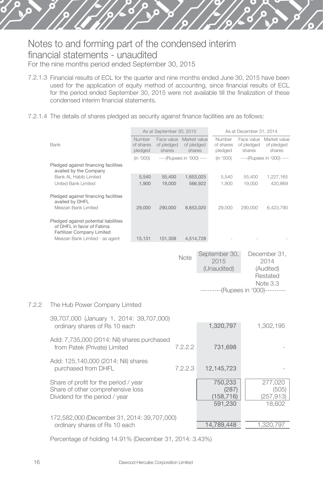- 7.2.1.3 Financial results of ECL for the quarter and nine months ended June 30, 2015 have been used for the application of equity method of accounting, since financial results of ECL for the period ended September 30, 2015 were not available till the finalization of these condensed interim financial statements.
- 7.2.1.4 The details of shares pledged as security against finance facilities are as follows:

|       |                                                                                                   |                                | As at September 30, 2015           |                                      |         |                                                                            | As at December 31, 2014            |                                                           |
|-------|---------------------------------------------------------------------------------------------------|--------------------------------|------------------------------------|--------------------------------------|---------|----------------------------------------------------------------------------|------------------------------------|-----------------------------------------------------------|
|       | Bank                                                                                              | Number<br>of shares<br>pledged | Face value<br>of pledged<br>shares | Market value<br>of pledged<br>shares |         | Number<br>of shares<br>pledged                                             | Face value<br>of pledged<br>shares | Market value<br>of pledged<br>shares                      |
|       |                                                                                                   | (in '000)                      | ----(Rupees in '000) ----          |                                      |         | (in '000)                                                                  |                                    | ---- (Rupees in '000) ----                                |
|       | Pledged against financing facilities                                                              |                                |                                    |                                      |         |                                                                            |                                    |                                                           |
|       | availed by the Company<br>Bank Al Habib Limited                                                   | 5,540                          | 55,400                             | 1,653,025                            |         | 5,540                                                                      | 55,400                             | 1,227,165                                                 |
|       | United Bank Limited                                                                               | 1.900                          | 19,000                             |                                      | 566.922 | 1.900                                                                      | 19,000                             | 420,869                                                   |
|       |                                                                                                   |                                |                                    |                                      |         |                                                                            |                                    |                                                           |
|       | Pledged against financing facilities<br>availed by DHFL                                           |                                |                                    |                                      |         |                                                                            |                                    |                                                           |
|       | Meezan Bank Limited                                                                               | 29,000                         | 290,000                            | 8,653,020                            |         | 29,000                                                                     | 290,000                            | 6,423,790                                                 |
|       | Pledged against potential liabilities<br>of DHFL in favor of Fatima<br>Fertilizer Company Limited |                                |                                    |                                      |         |                                                                            |                                    |                                                           |
|       | Meezan Bank Limited - as agent                                                                    | 15,131                         | 151,308                            | 4,514,728                            |         |                                                                            |                                    |                                                           |
|       |                                                                                                   |                                |                                    | Note                                 |         | September 30,<br>2015<br>(Unaudited)<br>---------(Rupees in '000)--------- |                                    | December 31,<br>2014<br>(Audited)<br>Restated<br>Note 3.3 |
| 7.2.2 | The Hub Power Company Limited                                                                     |                                |                                    |                                      |         |                                                                            |                                    |                                                           |
|       | 39,707,000 (January 1, 2014: 39,707,000)<br>ordinary shares of Rs 10 each                         |                                |                                    |                                      |         | 1,320,797                                                                  |                                    | 1,302,195                                                 |
|       | Add: 7,735,000 (2014: Nil) shares purchased<br>from Patek (Private) Limited                       |                                |                                    | 7.2.2.2                              |         | 731,698                                                                    |                                    |                                                           |

Add: 125,140,000 (2014: Nil) shares purchased from DHFL 7.2.2.3 12,145,723

Share of profit for the period / year 750,233 277,020<br>
Share of other comprehensive loss (287) (505) Share of other comprehensive loss (287) (505)<br>Dividend for the period / year (158,716) (257,913) Dividend for the period / year (158,716) (257,913)<br>591,230 (257,913) (257,913)

172,582,000 (December 31, 2014: 39,707,000)

Percentage of holding 14.91% (December 31, 2014: 3.43%)

ordinary shares of Rs 10 each 14,789,448 1,320,797

591,230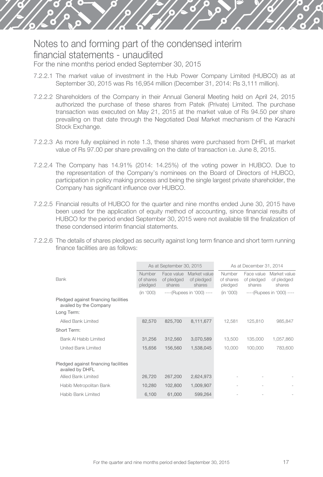- 7.2.2.1 The market value of investment in the Hub Power Company Limited (HUBCO) as at September 30, 2015 was Rs 16,954 million (December 31, 2014: Rs 3,111 million).
- 7.2.2.2 Shareholders of the Company in their Annual General Meeting held on April 24, 2015 authorized the purchase of these shares from Patek (Private) Limited. The purchase transaction was executed on May 21, 2015 at the market value of Rs 94.50 per share prevailing on that date through the Negotiated Deal Market mechanism of the Karachi Stock Exchange.
- 7.2.2.3 As more fully explained in note 1.3, these shares were purchased from DHFL at market value of Rs 97.00 per share prevailing on the date of transaction i.e. June 8, 2015.
- 7.2.2.4 The Company has 14.91% (2014: 14.25%) of the voting power in HUBCO. Due to the representation of the Company's nominees on the Board of Directors of HUBCO, participation in policy making process and being the single largest private shareholder, the Company has significant influence over HUBCO.
- 7.2.2.5 Financial results of HUBCO for the quarter and nine months ended June 30, 2015 have been used for the application of equity method of accounting, since financial results of HUBCO for the period ended September 30, 2015 were not available till the finalization of these condensed interim financial statements.
- 7.2.2.6 The details of shares pledged as security against long term finance and short term running finance facilities are as follows:

|                                                                |                                | As at September 30, 2015           |                                      |                                | As at December 31, 2014            |                                      |
|----------------------------------------------------------------|--------------------------------|------------------------------------|--------------------------------------|--------------------------------|------------------------------------|--------------------------------------|
| Bank                                                           | Number<br>of shares<br>pledged | Face value<br>of pledged<br>shares | Market value<br>of pledged<br>shares | Number<br>of shares<br>pledged | Face value<br>of pledged<br>shares | Market value<br>of pledged<br>shares |
|                                                                | (in '000)                      |                                    | ----(Rupees in '000) ----            | (in '000)                      |                                    | ----(Rupees in '000) ----            |
| Pledged against financing facilities<br>availed by the Company |                                |                                    |                                      |                                |                                    |                                      |
| Long Term:                                                     |                                |                                    |                                      |                                |                                    |                                      |
| Allied Bank Limited                                            | 82.570                         | 825.700                            | 8,111,677                            | 12,581                         | 125,810                            | 985,847                              |
| Short Term:                                                    |                                |                                    |                                      |                                |                                    |                                      |
| Bank Al Habib Limited                                          | 31.256                         | 312.560                            | 3,070,589                            | 13,500                         | 135,000                            | 1,057,860                            |
| United Bank Limited                                            | 15,656                         | 156,560                            | 1.538.045                            | 10,000                         | 100,000                            | 783,600                              |
|                                                                |                                |                                    |                                      |                                |                                    |                                      |
| Pledged against financing facilities<br>availed by DHFL        |                                |                                    |                                      |                                |                                    |                                      |
| Allied Bank Limited                                            | 26,720                         | 267,200                            | 2,624,973                            |                                |                                    |                                      |
| Habib Metropolitan Bank                                        | 10,280                         | 102,800                            | 1,009,907                            |                                |                                    |                                      |
| Habib Bank Limited                                             | 6.100                          | 61,000                             | 599.264                              |                                |                                    |                                      |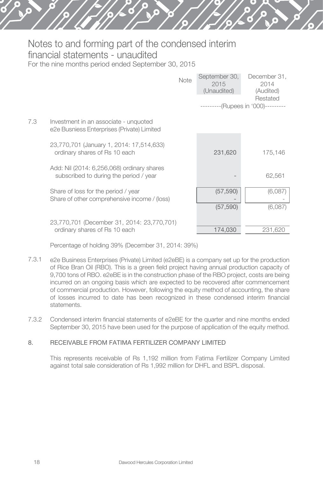|     |                                                                                      | Note | September 30,<br>2015<br>(Unaudited) | December 31.<br>2014<br>(Audited)              |
|-----|--------------------------------------------------------------------------------------|------|--------------------------------------|------------------------------------------------|
|     |                                                                                      |      |                                      | Restated<br>---------(Rupees in '000)--------- |
| 7.3 | Investment in an associate - unquoted<br>e2e Busniess Enterprises (Private) Limited  |      |                                      |                                                |
|     | 23,770,701 (January 1, 2014: 17,514,633)<br>ordinary shares of Rs 10 each            |      | 231,620                              | 175,146                                        |
|     | Add: Nil (2014: 6,256,068) ordinary shares<br>subscribed to during the period / year |      |                                      | 62,561                                         |
|     | Share of loss for the period / year<br>Share of other comprehensive income / (loss)  |      | (57, 590)<br>(57, 590)               | (6,087)<br>(6,087)                             |
|     | 23,770,701 (December 31, 2014: 23,770,701)<br>ordinary shares of Rs 10 each          |      | 174.030                              | 231,620                                        |

Percentage of holding 39% (December 31, 2014: 39%)

- 7.3.1 e2e Business Enterprises (Private) Limited (e2eBE) is a company set up for the production of Rice Bran Oil (RBO). This is a green field project having annual production capacity of 9,700 tons of RBO. e2eBE is in the construction phase of the RBO project, costs are being incurred on an ongoing basis which are expected to be recovered after commencement of commercial production. However, following the equity method of accounting, the share of losses incurred to date has been recognized in these condensed interim financial statements.
- 7.3.2 Condensed interim financial statements of e2eBE for the quarter and nine months ended September 30, 2015 have been used for the purpose of application of the equity method.

#### 8. RECEIVABLE FROM FATIMA FERTILIZER COMPANY LIMITED

This represents receivable of Rs 1,192 million from Fatima Fertilizer Company Limited against total sale consideration of Rs 1,992 million for DHFL and BSPL disposal.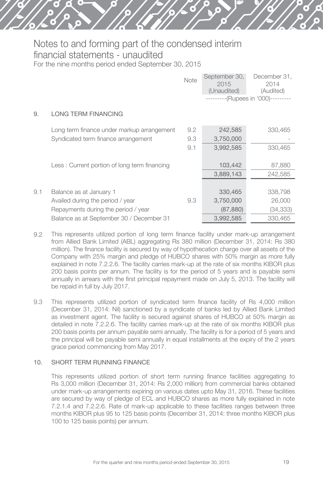|     |                                              | Note | September 30,<br>2015<br>(Unaudited) | December 31,<br>2014<br>(Audited)<br>---------(Rupees in '000)--------- |
|-----|----------------------------------------------|------|--------------------------------------|-------------------------------------------------------------------------|
| 9.  | LONG TERM FINANCING                          |      |                                      |                                                                         |
|     | Long term finance under markup arrangement   | 9.2  | 242,585                              | 330,465                                                                 |
|     | Syndicated term finance arrangement          | 9.3  | 3,750,000                            |                                                                         |
|     |                                              | 9.1  | 3,992,585                            | 330,465                                                                 |
|     | Less: Current portion of long term financing |      | 103,442                              | 87,880                                                                  |
|     |                                              |      | 3,889,143                            | 242,585                                                                 |
|     |                                              |      |                                      |                                                                         |
| 9.1 | Balance as at January 1                      |      | 330,465                              | 338,798                                                                 |
|     | Availed during the period / year             | 9.3  | 3,750,000                            | 26,000                                                                  |
|     | Repayments during the period / year          |      | (87, 880)                            | (34, 333)                                                               |
|     | Balance as at September 30 / December 31     |      | 3,992,585                            | 330,465                                                                 |

- 9.2 This represents utilized portion of long term finance facility under mark-up arrangement from Allied Bank Limited (ABL) aggregating Rs 380 million (December 31, 2014: Rs 380 million). The finance facility is secured by way of hypothecation charge over all assets of the Company with 25% margin and pledge of HUBCO shares with 50% margin as more fully explained in note 7.2.2.6. The facility carries mark-up at the rate of six months KIBOR plus 200 basis points per annum. The facility is for the period of 5 years and is payable semi annually in arrears with the first principal repayment made on July 5, 2013. The facility will be repaid in full by July 2017.
- 9.3 This represents utilized portion of syndicated term finance facility of Rs 4,000 million (December 31, 2014: Nil) sanctioned by a syndicate of banks led by Allied Bank Limited as investment agent. The facility is secured against shares of HUBCO at 50% margin as detailed in note 7.2.2.6. The facility carries mark-up at the rate of six months KIBOR plus 200 basis points per annum payable semi annually. The facility is for a period of 5 years and the principal will be payable semi annually in equal installments at the expiry of the 2 years grace period commencing from May 2017.

#### 10. SHORT TERM RUNNING FINANCE

This represents utilized portion of short term running finance facilities aggregating to Rs 3,000 million (December 31, 2014: Rs 2,000 million) from commercial banks obtained under mark-up arrangements expiring on various dates upto May 31, 2016. These facilities are secured by way of pledge of ECL and HUBCO shares as more fully explained in note 7.2.1.4 and 7.2.2.6. Rate of mark-up applicable to these facilities ranges between three months KIBOR plus 95 to 125 basis points (December 31, 2014: three months KIBOR plus 100 to 125 basis points) per annum.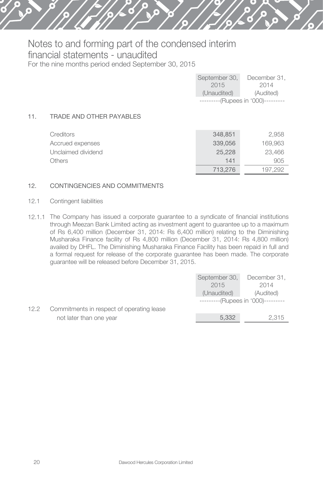|     |                          | September 30,<br>2015<br>(Unaudited) | December 31,<br>2014<br>(Audited)<br>---------(Rupees in '000)--------- |
|-----|--------------------------|--------------------------------------|-------------------------------------------------------------------------|
| 11. | TRADE AND OTHER PAYABLES |                                      |                                                                         |

| Creditors          | 348,851 | 2.958   |
|--------------------|---------|---------|
| Accrued expenses   | 339,056 | 169.963 |
| Unclaimed dividend | 25.228  | 23.466  |
| Others             | 141     | 905     |
|                    | 713.276 | 197.292 |

#### 12. CONTINGENCIES AND COMMITMENTS

- 12.1 Contingent liabilities
- 12.1.1 The Company has issued a corporate guarantee to a syndicate of financial institutions through Meezan Bank Limited acting as investment agent to guarantee up to a maximum of Rs 6,400 million (December 31, 2014: Rs 6,400 million) relating to the Diminishing Musharaka Finance facility of Rs 4,800 million (December 31, 2014: Rs 4,800 million) availed by DHFL. The Diminishing Musharaka Finance Facility has been repaid in full and a formal request for release of the corporate guarantee has been made. The corporate guarantee will be released before December 31, 2015.

|      |                                           | September 30, | December 31,                       |
|------|-------------------------------------------|---------------|------------------------------------|
|      |                                           | 2015          | 2014                               |
|      |                                           | (Unaudited)   | (Audited)                          |
|      |                                           |               | ---------(Rupees in '000)--------- |
| 12.2 | Commitments in respect of operating lease |               |                                    |
|      | not later than one year                   | 5.332         | 2.315                              |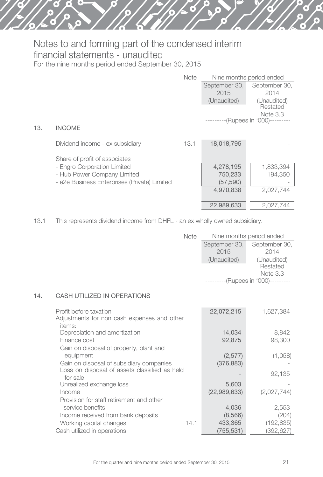|     |                                              | <b>Note</b> |                       | Nine months period ended                     |
|-----|----------------------------------------------|-------------|-----------------------|----------------------------------------------|
|     |                                              |             | September 30,<br>2015 | September 30,<br>2014                        |
|     |                                              |             | (Unaudited)           | (Unaudited)                                  |
|     |                                              |             |                       | Restated<br>Note 3.3<br>--(Rupees in '000)-- |
| 13. | <b>INCOME</b>                                |             |                       |                                              |
|     | Dividend income - ex subsidiary              | 13.1        | 18,018,795            |                                              |
|     | Share of profit of associates                |             |                       |                                              |
|     | - Engro Corporation Limited                  |             | 4,278,195             | 1,833,394                                    |
|     | - Hub Power Company Limited                  |             | 750,233               | 194,350                                      |
|     | - e2e Business Enterprises (Private) Limited |             | (57, 590)             |                                              |
|     |                                              |             | 4,970,838             | 2,027,744                                    |
|     |                                              |             | 22,989,633            | 2,027,744                                    |

13.1 This represents dividend income from DHFL - an ex wholly owned subsidiary.

| Note | Nine months period ended           |               |  |  |
|------|------------------------------------|---------------|--|--|
|      | September 30,                      | September 30, |  |  |
|      | 2015                               | 2014          |  |  |
|      | (Unaudited)                        | (Unaudited)   |  |  |
|      |                                    | Restated      |  |  |
|      |                                    | Note 3.3      |  |  |
|      | ---------(Rupees in '000)--------- |               |  |  |

#### 14. CASH UTILIZED IN OPERATIONS

| items:<br>Depreciation and amortization<br>8,842<br>14,034<br>92.875<br>98,300<br>Finance cost<br>Gain on disposal of property, plant and<br>(2,577)<br>(1,058)<br>equipment<br>Gain on disposal of subsidiary companies<br>(376, 883) | 1.627.384 |
|----------------------------------------------------------------------------------------------------------------------------------------------------------------------------------------------------------------------------------------|-----------|
|                                                                                                                                                                                                                                        |           |
|                                                                                                                                                                                                                                        |           |
|                                                                                                                                                                                                                                        |           |
|                                                                                                                                                                                                                                        |           |
|                                                                                                                                                                                                                                        |           |
|                                                                                                                                                                                                                                        |           |
| Loss on disposal of assets classified as held<br>92,135<br>for sale                                                                                                                                                                    |           |
| Unrealized exchange loss<br>5,603                                                                                                                                                                                                      |           |
| (22,989,633)<br>(2,027,744)<br>Income                                                                                                                                                                                                  |           |
| Provision for staff retirement and other                                                                                                                                                                                               |           |
| service benefits<br>4,036<br>2,553                                                                                                                                                                                                     |           |
| Income received from bank deposits<br>(8,566)<br>(204)                                                                                                                                                                                 |           |
| 433,365<br>(192, 835)<br>Working capital changes<br>14.1                                                                                                                                                                               |           |
| (755, 531)<br>Cash utilized in operations<br>(392,627)                                                                                                                                                                                 |           |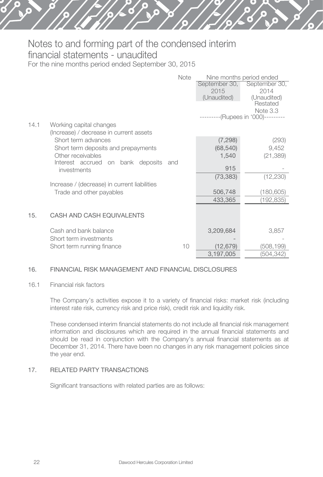|      |                                              | Note | Nine months period ended |                                   |
|------|----------------------------------------------|------|--------------------------|-----------------------------------|
|      |                                              |      | September 30,            | September 30,                     |
|      |                                              |      | 2015                     | 2014                              |
|      |                                              |      | (Unaudited)              | (Unaudited)                       |
|      |                                              |      |                          | Restated                          |
|      |                                              |      |                          | Note 3.3<br>--(Rupees in '000)--- |
|      |                                              |      |                          |                                   |
| 14.1 | Working capital changes                      |      |                          |                                   |
|      | (Increase) / decrease in current assets      |      |                          |                                   |
|      | Short term advances                          |      | (7, 298)                 | (293)                             |
|      | Short term deposits and prepayments          |      | (68, 540)                | 9,452                             |
|      | Other receivables                            |      | 1,540                    | (21, 389)                         |
|      | Interest accrued on bank deposits            | and  |                          |                                   |
|      | investments                                  |      | 915                      |                                   |
|      |                                              |      | (73, 383)                | (12, 230)                         |
|      | Increase / (decrease) in current liabilities |      |                          |                                   |
|      | Trade and other payables                     |      | 506,748                  | (180,605)                         |
|      |                                              |      | 433,365                  | (192, 835)                        |
|      |                                              |      |                          |                                   |
| 15.  | CASH AND CASH EQUIVALENTS                    |      |                          |                                   |
|      |                                              |      |                          |                                   |
|      | Cash and bank balance                        |      | 3,209,684                | 3,857                             |
|      | Short term investments                       |      |                          |                                   |
|      | Short term running finance                   | 10   | (12,679)                 | (508,199)                         |
|      |                                              |      | 3,197,005                | (504,342)                         |

#### 16. FINANCIAL RISK MANAGEMENT AND FINANCIAL DISCLOSURES

#### 16.1 Financial risk factors

The Company's activities expose it to a variety of financial risks: market risk (including interest rate risk, currency risk and price risk), credit risk and liquidity risk.

These condensed interim financial statements do not include all financial risk management information and disclosures which are required in the annual financial statements and should be read in conjunction with the Company's annual financial statements as at December 31, 2014. There have been no changes in any risk management policies since the year end.

#### 17. RELATED PARTY TRANSACTIONS

Significant transactions with related parties are as follows: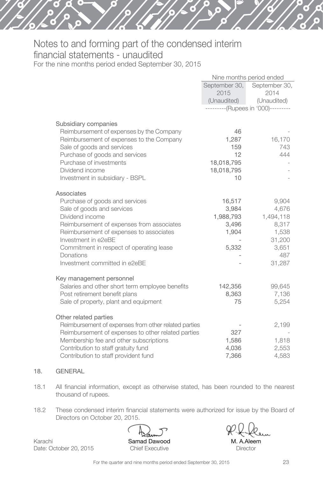|                                                                                                                                                                                                                                                               |                                                            | Nine months period ended           |  |
|---------------------------------------------------------------------------------------------------------------------------------------------------------------------------------------------------------------------------------------------------------------|------------------------------------------------------------|------------------------------------|--|
|                                                                                                                                                                                                                                                               | September 30,                                              | September 30,                      |  |
|                                                                                                                                                                                                                                                               | 2015                                                       | 2014                               |  |
|                                                                                                                                                                                                                                                               | (Unaudited)                                                | (Unaudited)                        |  |
|                                                                                                                                                                                                                                                               |                                                            | ---------(Rupees in '000)--------- |  |
| Subsidiary companies<br>Reimbursement of expenses by the Company<br>Reimbursement of expenses to the Company<br>Sale of goods and services<br>Purchase of goods and services<br>Purchase of investments<br>Dividend income<br>Investment in subsidiary - BSPL | 46<br>1,287<br>159<br>12<br>18,018,795<br>18,018,795<br>10 | 16,170<br>743<br>444               |  |
| Associates                                                                                                                                                                                                                                                    |                                                            |                                    |  |
| Purchase of goods and services                                                                                                                                                                                                                                | 16,517                                                     | 9,904                              |  |
| Sale of goods and services                                                                                                                                                                                                                                    | 3,984                                                      | 4,676                              |  |
| Dividend income                                                                                                                                                                                                                                               | 1,988,793                                                  | 1,494,118                          |  |
| Reimbursement of expenses from associates                                                                                                                                                                                                                     | 3,496                                                      | 8,317                              |  |
| Reimbursement of expenses to associates                                                                                                                                                                                                                       | 1,904                                                      | 1,538                              |  |
| Investment in e2eBE                                                                                                                                                                                                                                           |                                                            | 31,200                             |  |
| Commitment in respect of operating lease                                                                                                                                                                                                                      | 5,332                                                      | 3,651                              |  |
| Donations                                                                                                                                                                                                                                                     |                                                            | 487                                |  |
| Investment committed in e2eBE                                                                                                                                                                                                                                 |                                                            | 31,287                             |  |
| Key management personnel                                                                                                                                                                                                                                      |                                                            |                                    |  |
| Salaries and other short term employee benefits                                                                                                                                                                                                               | 142,356                                                    | 99,645                             |  |
| Post retirement benefit plans                                                                                                                                                                                                                                 | 8,363                                                      | 7,136                              |  |
| Sale of property, plant and equipment                                                                                                                                                                                                                         | 75                                                         | 5,254                              |  |
| Other related parties                                                                                                                                                                                                                                         |                                                            |                                    |  |
| Reimbursement of expenses from other related parties                                                                                                                                                                                                          |                                                            | 2,199                              |  |
| Reimbursement of expenses to other related parties                                                                                                                                                                                                            | 327                                                        |                                    |  |
| Membership fee and other subscriptions                                                                                                                                                                                                                        | 1,586                                                      | 1,818                              |  |
| Contribution to staff gratuity fund                                                                                                                                                                                                                           | 4,036                                                      | 2,553                              |  |
| Contribution to staff provident fund                                                                                                                                                                                                                          | 7,366                                                      | 4,583                              |  |

#### 18. GENERAL

- 18.1 All financial information, except as otherwise stated, has been rounded to the nearest thousand of rupees.
- 18.2 These condensed interim financial statements were authorized for issue by the Board of Directors on October 20, 2015.

Karachi Date: October 20, 2015 Samad Dawood Chief Executive

M. A.Aleem **Director**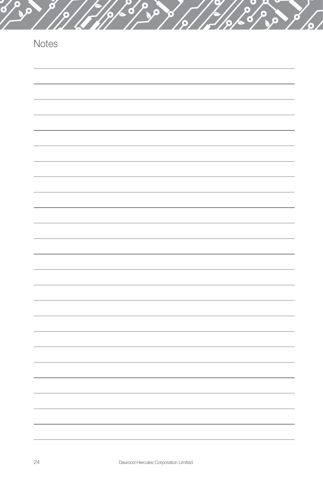| Notes |  |  |
|-------|--|--|
|       |  |  |
|       |  |  |
|       |  |  |
|       |  |  |
|       |  |  |
|       |  |  |
|       |  |  |
|       |  |  |
|       |  |  |
|       |  |  |
|       |  |  |
|       |  |  |
|       |  |  |
|       |  |  |
|       |  |  |
|       |  |  |
|       |  |  |
|       |  |  |
|       |  |  |
|       |  |  |

۰

 $\bullet$  $\overline{\textbf{c}}$